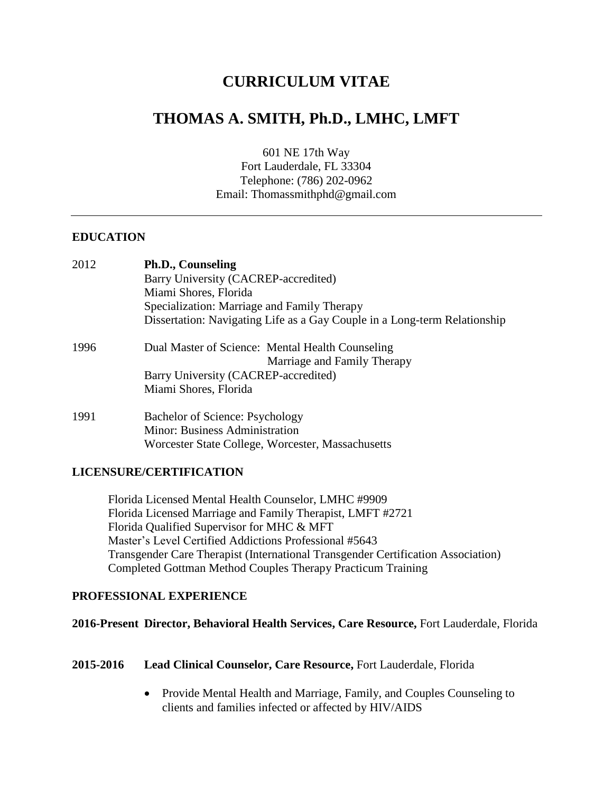# **CURRICULUM VITAE**

# **THOMAS A. SMITH, Ph.D., LMHC, LMFT**

601 NE 17th Way Fort Lauderdale, FL 33304 Telephone: (786) 202-0962 Email: Thomassmithphd@gmail.com

## **EDUCATION**

| 2012 | Ph.D., Counseling                                                         |  |
|------|---------------------------------------------------------------------------|--|
|      | Barry University (CACREP-accredited)                                      |  |
|      | Miami Shores, Florida                                                     |  |
|      | Specialization: Marriage and Family Therapy                               |  |
|      | Dissertation: Navigating Life as a Gay Couple in a Long-term Relationship |  |
| 1996 | Dual Master of Science: Mental Health Counseling                          |  |
|      | Marriage and Family Therapy                                               |  |
|      | Barry University (CACREP-accredited)                                      |  |
|      | Miami Shores, Florida                                                     |  |
| 1991 | Bachelor of Science: Psychology                                           |  |
|      | <b>Minor: Business Administration</b>                                     |  |
|      | Worcester State College, Worcester, Massachusetts                         |  |

#### **LICENSURE/CERTIFICATION**

Florida Licensed Mental Health Counselor, LMHC #9909 Florida Licensed Marriage and Family Therapist, LMFT #2721 Florida Qualified Supervisor for MHC & MFT Master's Level Certified Addictions Professional #5643 Transgender Care Therapist (International Transgender Certification Association) Completed Gottman Method Couples Therapy Practicum Training

#### **PROFESSIONAL EXPERIENCE**

#### **2016-Present Director, Behavioral Health Services, Care Resource,** Fort Lauderdale, Florida

#### **2015-2016 Lead Clinical Counselor, Care Resource,** Fort Lauderdale, Florida

• Provide Mental Health and Marriage, Family, and Couples Counseling to clients and families infected or affected by HIV/AIDS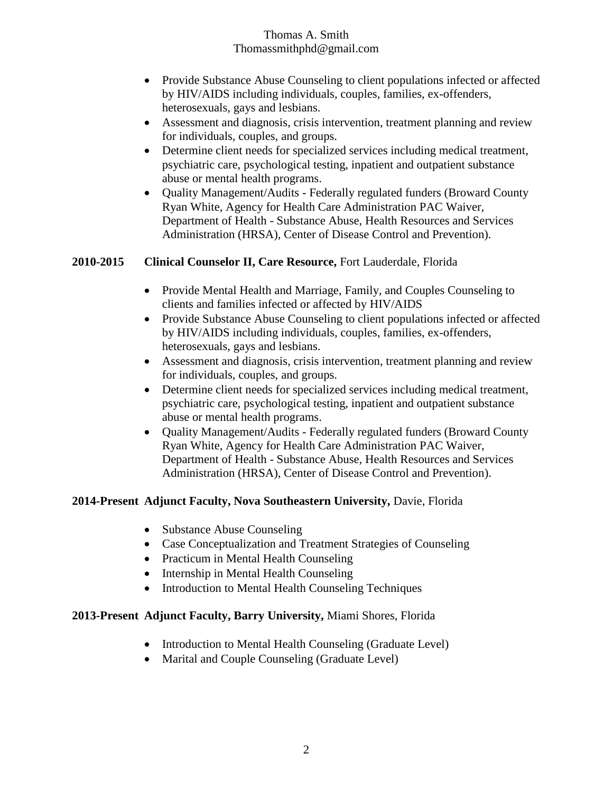- Provide Substance Abuse Counseling to client populations infected or affected by HIV/AIDS including individuals, couples, families, ex-offenders, heterosexuals, gays and lesbians.
- Assessment and diagnosis, crisis intervention, treatment planning and review for individuals, couples, and groups.
- Determine client needs for specialized services including medical treatment, psychiatric care, psychological testing, inpatient and outpatient substance abuse or mental health programs.
- Quality Management/Audits Federally regulated funders (Broward County Ryan White, Agency for Health Care Administration PAC Waiver, Department of Health - Substance Abuse, Health Resources and Services Administration (HRSA), Center of Disease Control and Prevention).

## **2010-2015 Clinical Counselor II, Care Resource,** Fort Lauderdale, Florida

- Provide Mental Health and Marriage, Family, and Couples Counseling to clients and families infected or affected by HIV/AIDS
- Provide Substance Abuse Counseling to client populations infected or affected by HIV/AIDS including individuals, couples, families, ex-offenders, heterosexuals, gays and lesbians.
- Assessment and diagnosis, crisis intervention, treatment planning and review for individuals, couples, and groups.
- Determine client needs for specialized services including medical treatment, psychiatric care, psychological testing, inpatient and outpatient substance abuse or mental health programs.
- Quality Management/Audits Federally regulated funders (Broward County Ryan White, Agency for Health Care Administration PAC Waiver, Department of Health - Substance Abuse, Health Resources and Services Administration (HRSA), Center of Disease Control and Prevention).

## **2014-Present Adjunct Faculty, Nova Southeastern University,** Davie, Florida

- Substance Abuse Counseling
- Case Conceptualization and Treatment Strategies of Counseling
- Practicum in Mental Health Counseling
- Internship in Mental Health Counseling
- Introduction to Mental Health Counseling Techniques

## **2013-Present Adjunct Faculty, Barry University,** Miami Shores, Florida

- Introduction to Mental Health Counseling (Graduate Level)
- Marital and Couple Counseling (Graduate Level)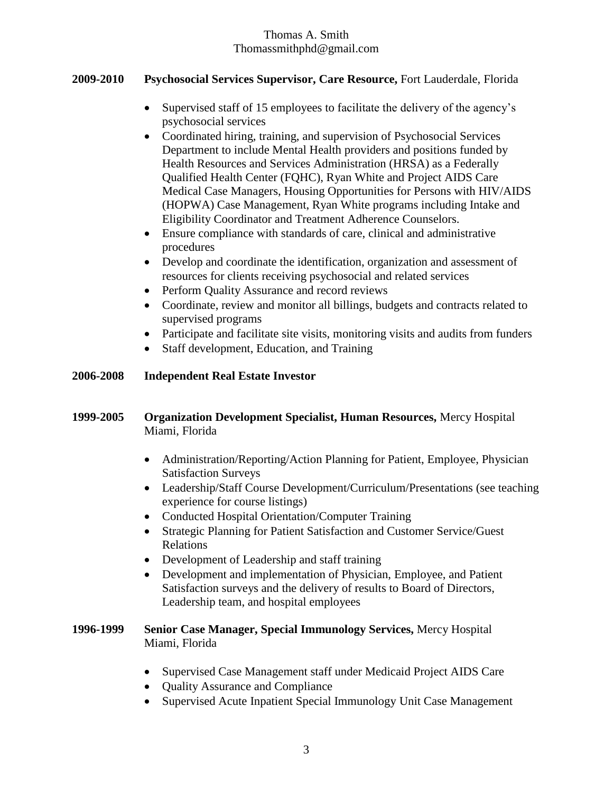#### **2009-2010 Psychosocial Services Supervisor, Care Resource,** Fort Lauderdale, Florida

- Supervised staff of 15 employees to facilitate the delivery of the agency's psychosocial services
- Coordinated hiring, training, and supervision of Psychosocial Services Department to include Mental Health providers and positions funded by Health Resources and Services Administration (HRSA) as a Federally Qualified Health Center (FQHC), Ryan White and Project AIDS Care Medical Case Managers, Housing Opportunities for Persons with HIV/AIDS (HOPWA) Case Management, Ryan White programs including Intake and Eligibility Coordinator and Treatment Adherence Counselors.
- Ensure compliance with standards of care, clinical and administrative procedures
- Develop and coordinate the identification, organization and assessment of resources for clients receiving psychosocial and related services
- Perform Quality Assurance and record reviews
- Coordinate, review and monitor all billings, budgets and contracts related to supervised programs
- Participate and facilitate site visits, monitoring visits and audits from funders
- Staff development, Education, and Training

#### **2006-2008 Independent Real Estate Investor**

#### **1999-2005 Organization Development Specialist, Human Resources,** Mercy Hospital Miami, Florida

- Administration/Reporting/Action Planning for Patient, Employee, Physician Satisfaction Surveys
- Leadership/Staff Course Development/Curriculum/Presentations (see teaching experience for course listings)
- Conducted Hospital Orientation/Computer Training
- Strategic Planning for Patient Satisfaction and Customer Service/Guest Relations
- Development of Leadership and staff training
- Development and implementation of Physician, Employee, and Patient Satisfaction surveys and the delivery of results to Board of Directors, Leadership team, and hospital employees

#### **1996-1999 Senior Case Manager, Special Immunology Services,** Mercy Hospital Miami, Florida

- Supervised Case Management staff under Medicaid Project AIDS Care
- Ouality Assurance and Compliance
- Supervised Acute Inpatient Special Immunology Unit Case Management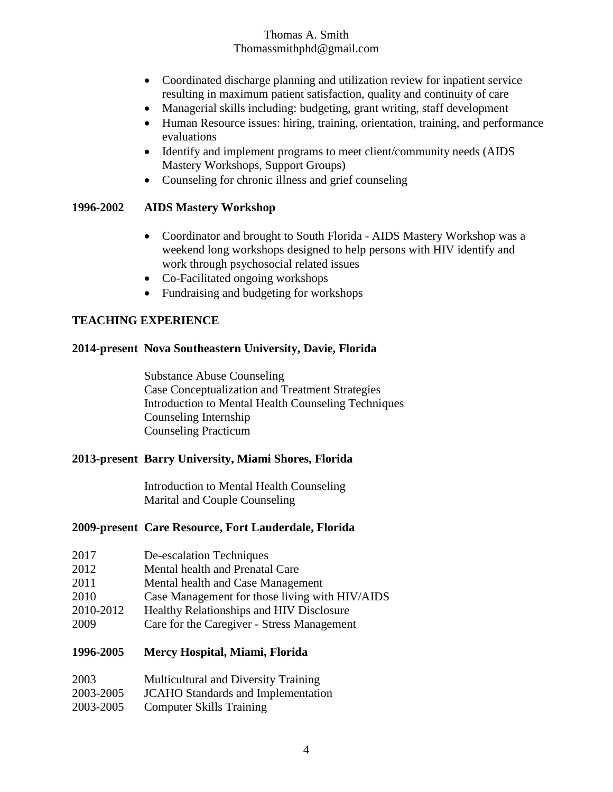- Coordinated discharge planning and utilization review for inpatient service resulting in maximum patient satisfaction, quality and continuity of care
- Managerial skills including: budgeting, grant writing, staff development
- Human Resource issues: hiring, training, orientation, training, and performance evaluations
- Identify and implement programs to meet client/community needs (AIDS) Mastery Workshops, Support Groups)
- Counseling for chronic illness and grief counseling

## **1996-2002 AIDS Mastery Workshop**

- Coordinator and brought to South Florida AIDS Mastery Workshop was a weekend long workshops designed to help persons with HIV identify and work through psychosocial related issues
- Co-Facilitated ongoing workshops
- Fundraising and budgeting for workshops

# **TEACHING EXPERIENCE**

## **2014-present Nova Southeastern University, Davie, Florida**

Substance Abuse Counseling Case Conceptualization and Treatment Strategies Introduction to Mental Health Counseling Techniques Counseling Internship Counseling Practicum

## **2013-present Barry University, Miami Shores, Florida**

Introduction to Mental Health Counseling Marital and Couple Counseling

## **2009-present Care Resource, Fort Lauderdale, Florida**

- 2012 Mental health and Prenatal Care
- 2011 Mental health and Case Management
- 2010 Case Management for those living with HIV/AIDS
- 2010-2012 Healthy Relationships and HIV Disclosure
- 2009 Care for the Caregiver Stress Management

## **1996-2005 Mercy Hospital, Miami, Florida**

| 2003      | <b>Multicultural and Diversity Training</b> |
|-----------|---------------------------------------------|
| 2003-2005 | <b>JCAHO</b> Standards and Implementation   |
| 2003-2005 | <b>Computer Skills Training</b>             |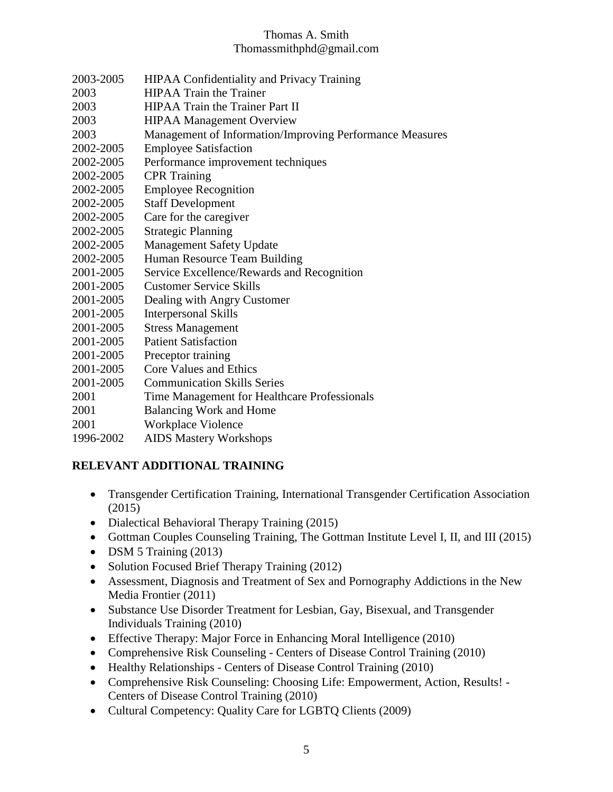- 2003-2005 HIPAA Confidentiality and Privacy Training
- 2003 HIPAA Train the Trainer
- 2003 HIPAA Train the Trainer Part II
- 2003 HIPAA Management Overview
- 2003 Management of Information/Improving Performance Measures
- 2002-2005 Employee Satisfaction
- 2002-2005 Performance improvement techniques
- 2002-2005 CPR Training
- 2002-2005 Employee Recognition
- 2002-2005 Staff Development
- 2002-2005 Care for the caregiver
- 2002-2005 Strategic Planning
- 2002-2005 Management Safety Update
- 2002-2005 Human Resource Team Building
- 2001-2005 Service Excellence/Rewards and Recognition
- 2001-2005 Customer Service Skills
- 2001-2005 Dealing with Angry Customer
- 2001-2005 Interpersonal Skills
- 2001-2005 Stress Management
- 2001-2005 Patient Satisfaction
- 2001-2005 Preceptor training
- 2001-2005 Core Values and Ethics
- 2001-2005 Communication Skills Series
- 2001 Time Management for Healthcare Professionals
- 2001 Balancing Work and Home
- 2001 Workplace Violence
- 1996-2002 AIDS Mastery Workshops

## **RELEVANT ADDITIONAL TRAINING**

- Transgender Certification Training, International Transgender Certification Association (2015)
- Dialectical Behavioral Therapy Training (2015)
- Gottman Couples Counseling Training, The Gottman Institute Level I, II, and III (2015)
- DSM 5 Training (2013)
- Solution Focused Brief Therapy Training (2012)
- Assessment, Diagnosis and Treatment of Sex and Pornography Addictions in the New Media Frontier (2011)
- Substance Use Disorder Treatment for Lesbian, Gay, Bisexual, and Transgender Individuals Training (2010)
- Effective Therapy: Major Force in Enhancing Moral Intelligence (2010)
- Comprehensive Risk Counseling Centers of Disease Control Training (2010)
- Healthy Relationships Centers of Disease Control Training (2010)
- Comprehensive Risk Counseling: Choosing Life: Empowerment, Action, Results! Centers of Disease Control Training (2010)
- Cultural Competency: Quality Care for LGBTQ Clients (2009)